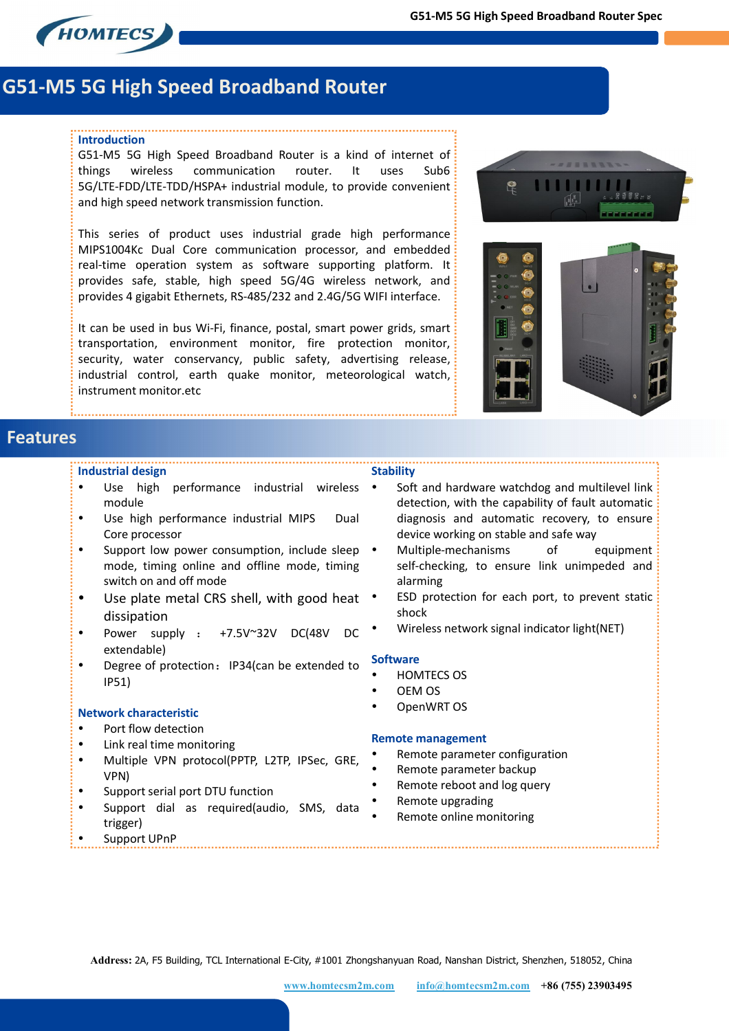

# **G51-M5 5G High Speed Broadband Router**

#### **Introduction**

G51-M5 5G High Speed Broadband Router is a kind of internet of things wireless communication router. It uses Sub6 5G/LTE-FDD/LTE-TDD/HSPA+ industrial module, to provide convenient and high speed network transmission function.

This series of product uses industrial grade high performance MIPS1004Kc Dual Core communication processor, and embedded real-time operation system as software supporting platform. It provides safe, stable, high speed 5G/4G wireless network, and provides 4 gigabit Ethernets, RS-485/232 and 2.4G/5G WIFI interface.

It can be used in bus Wi-Fi, finance, postal, smart power grids, smart transportation, environment monitor, fire protection monitor, security, water conservancy, public safety, advertising release, industrial control, earth quake monitor, meteorological watch, instrument monitor.etc





## **Features**

#### **Industrial design**

- Use high performance industrial wireless module
- Use high performance industrial MIPS Dual Core processor
- Support low power consumption, include sleep mode, timing online and offline mode, timing switch on and off mode
- Use plate metal CRS shell, with good heat dissipation
- Power supply : +7.5V~32V DC(48V DC extendable)
- Degree of protection: IP34(can be extended to IP51)

#### **Network characteristic**

- Port flow detection
- Link real time monitoring
- Multiple VPN protocol(PPTP, L2TP, IPSec, GRE, VPN)
- Support serial port DTU function
- Support dial as required(audio, SMS, data trigger)
- Support UPnP
- Soft and hardware watchdog and multilevel link detection, with the capability of fault automatic diagnosis and automatic recovery, to ensure device working on stable and safe way
- Multiple-mechanisms of equipment self-checking, to ensure link unimpeded and alarming
- ESD protection for each port, to prevent static shock
- Wireless network signal indicator light(NET)

#### **Software**

- HOMTECS OS
- OEM OS
- OpenWRT OS

#### **Remote management**

- Remote parameter configuration
- Remote parameter backup
- Remote reboot and log query
- Remote upgrading
- Remote online monitoring

**Address:** 2A, F5 Building, TCL International E-City, #1001 Zhongshanyuan Road, Nanshan District, Shenzhen, 518052, China



**Stability**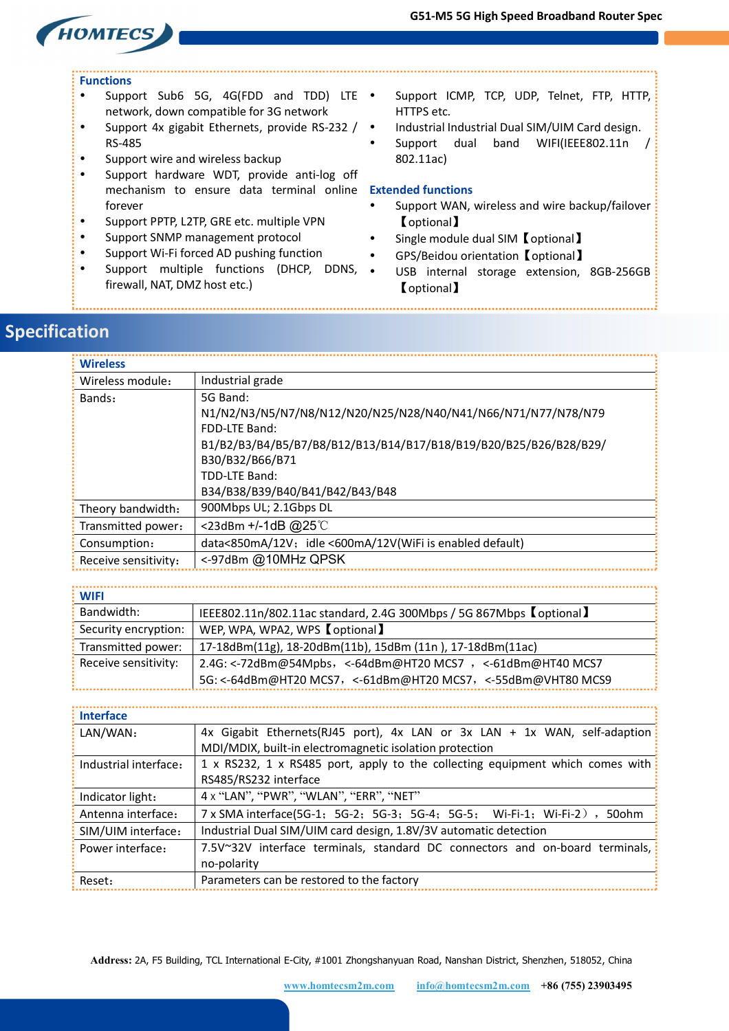

### **Functions**

- Support Sub6 5G, 4G(FDD and TDD) LTE . network, down compatible for 3G network
- Support 4x gigabit Ethernets, provide RS-232 / RS-485
- Support wire and wireless backup
- Support hardware WDT, provide anti-log off mechanism to ensure data terminal online **Extended functions** forever
- Support PPTP, L2TP, GRE etc. multiple VPN
- Support SNMP management protocol
- Support Wi-Fi forced AD pushing function
- Support multiple functions (DHCP, DDNS, firewall, NAT, DMZ host etc.)
- Support ICMP, TCP, UDP, Telnet, FTP, HTTP, HTTPS etc.
- Industrial Industrial Dual SIM/UIM Card design.
- Support dual band WIFI(IEEE802.11n / 802.11ac)

- Support WAN, wireless and wire backup/failover 【optional】
- Single module dual SIM【optional】
- GPS/Beidou orientation【optional】
- USB internal storage extension, 8GB-256GB 【optional】

## **Specification**

| <b>Wireless</b>      |                                                                   |
|----------------------|-------------------------------------------------------------------|
| Wireless module:     | Industrial grade                                                  |
| Bands:               | 5G Band:                                                          |
|                      | N1/N2/N3/N5/N7/N8/N12/N20/N25/N28/N40/N41/N66/N71/N77/N78/N79     |
|                      | FDD-LTF Band:                                                     |
|                      | B1/B2/B3/B4/B5/B7/B8/B12/B13/B14/B17/B18/B19/B20/B25/B26/B28/B29/ |
|                      | B30/B32/B66/B71                                                   |
|                      | TDD-LTE Band:                                                     |
|                      | B34/B38/B39/B40/B41/B42/B43/B48                                   |
| Theory bandwidth:    | 900Mbps UL; 2.1Gbps DL                                            |
| Transmitted power:   | <23dBm +/-1dB @25℃                                                |
| Consumption:         | data<850mA/12V; idle <600mA/12V(WiFi is enabled default)          |
| Receive sensitivity: | <-97dBm @10MHz QPSK                                               |

**WIFI** 

| <b>VVIFI</b>         |                                                                     |
|----------------------|---------------------------------------------------------------------|
| Bandwidth:           | IEEE802.11n/802.11ac standard, 2.4G 300Mbps / 5G 867Mbps (optional) |
| Security encryption: | WEP, WPA, WPA2, WPS 【optional】                                      |
| Transmitted power:   | 17-18dBm(11g), 18-20dBm(11b), 15dBm (11n), 17-18dBm(11ac)           |
| Receive sensitivity: | 2.4G: <-72dBm@54Mpbs,<-64dBm@HT20 MCS7 ,<-61dBm@HT40 MCS7           |
|                      | 5G: <- 64dBm@HT20 MCS7, <- 61dBm@HT20 MCS7, <- 55dBm@VHT80 MCS9     |
|                      |                                                                     |

| <b>Interface</b>      |                                                                               |
|-----------------------|-------------------------------------------------------------------------------|
| LAN/WAN:              | 4x Gigabit Ethernets(RJ45 port), 4x LAN or 3x LAN + 1x WAN, self-adaption     |
|                       | MDI/MDIX, built-in electromagnetic isolation protection                       |
| Industrial interface: | 1 x RS232, 1 x RS485 port, apply to the collecting equipment which comes with |
|                       | RS485/RS232 interface                                                         |
| Indicator light:      | 4 x "LAN", "PWR", "WLAN", "ERR", "NET"                                        |
| Antenna interface:    | 7 x SMA interface(5G-1; 5G-2; 5G-3; 5G-4; 5G-5; Wi-Fi-1; Wi-Fi-2), 50ohm      |
| SIM/UIM interface:    | Industrial Dual SIM/UIM card design, 1.8V/3V automatic detection              |
| Power interface:      | 7.5V~32V interface terminals, standard DC connectors and on-board terminals,  |
|                       | no-polarity                                                                   |
| Reset:                | Parameters can be restored to the factory                                     |

**Address:** 2A, F5 Building, TCL International E-City, #1001 Zhongshanyuan Road, Nanshan District, Shenzhen, 518052, China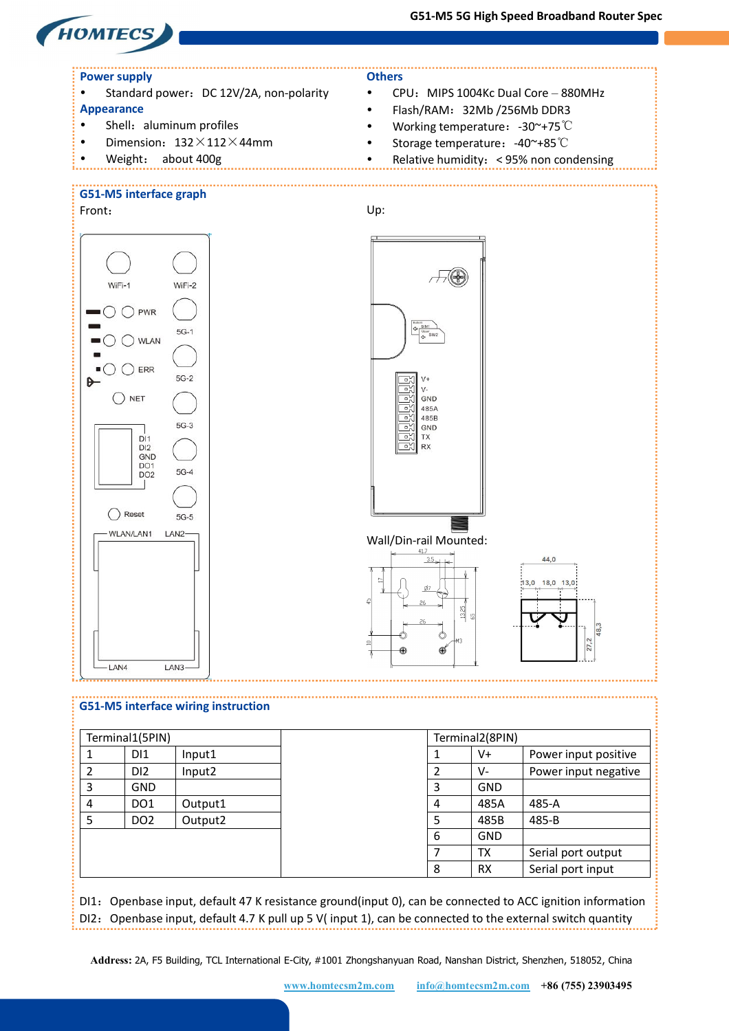**G51-M5 5G High Speed Broadband Router Spec**



DI1: Openbase input, default 47 K resistance ground(input 0), can be connected to ACC ignition information DI2: Openbase input, default 4.7 K pull up 5 V( input 1), can be connected to the external switch quantity

**Address:** 2A, F5 Building, TCL International E-City, #1001 Zhongshanyuan Road, Nanshan District, Shenzhen, 518052, China

8 | RX | Serial port input